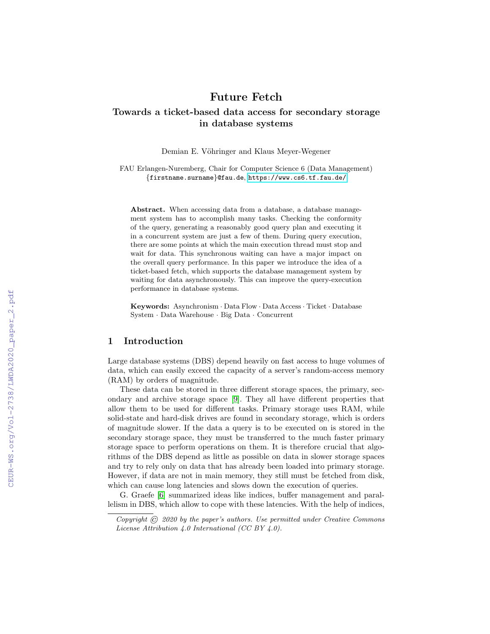# Future Fetch

# Towards a ticket-based data access for secondary storage in database systems

Demian E. Vöhringer and Klaus Meyer-Wegener

FAU Erlangen-Nuremberg, Chair for Computer Science 6 (Data Management) {firstname.surname}@fau.de, <https://www.cs6.tf.fau.de/>

Abstract. When accessing data from a database, a database management system has to accomplish many tasks. Checking the conformity of the query, generating a reasonably good query plan and executing it in a concurrent system are just a few of them. During query execution, there are some points at which the main execution thread must stop and wait for data. This synchronous waiting can have a major impact on the overall query performance. In this paper we introduce the idea of a ticket-based fetch, which supports the database management system by waiting for data asynchronously. This can improve the query-execution performance in database systems.

Keywords: Asynchronism · Data Flow · Data Access · Ticket · Database System · Data Warehouse · Big Data · Concurrent

### 1 Introduction

Large database systems (DBS) depend heavily on fast access to huge volumes of data, which can easily exceed the capacity of a server's random-access memory (RAM) by orders of magnitude.

These data can be stored in three different storage spaces, the primary, secondary and archive storage space [\[9\]](#page--1-0). They all have different properties that allow them to be used for different tasks. Primary storage uses RAM, while solid-state and hard-disk drives are found in secondary storage, which is orders of magnitude slower. If the data a query is to be executed on is stored in the secondary storage space, they must be transferred to the much faster primary storage space to perform operations on them. It is therefore crucial that algorithms of the DBS depend as little as possible on data in slower storage spaces and try to rely only on data that has already been loaded into primary storage. However, if data are not in main memory, they still must be fetched from disk, which can cause long latencies and slows down the execution of queries.

G. Graefe [\[6\]](#page--1-1) summarized ideas like indices, buffer management and parallelism in DBS, which allow to cope with these latencies. With the help of indices,

Copyright  $\overline{C}$  2020 by the paper's authors. Use permitted under Creative Commons License Attribution 4.0 International (CC BY 4.0).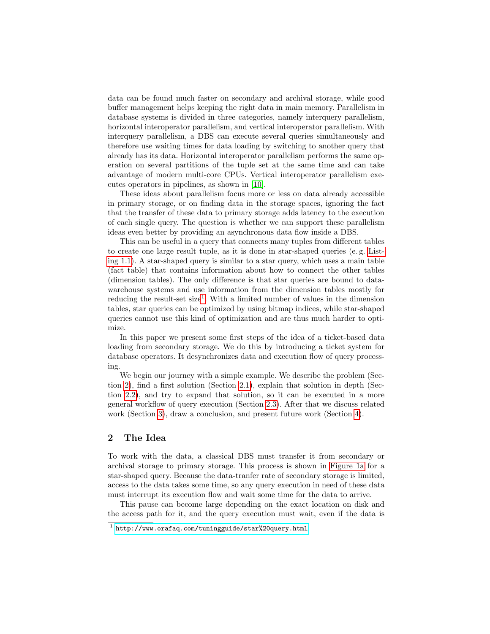data can be found much faster on secondary and archival storage, while good buffer management helps keeping the right data in main memory. Parallelism in database systems is divided in three categories, namely interquery parallelism, horizontal interoperator parallelism, and vertical interoperator parallelism. With interquery parallelism, a DBS can execute several queries simultaneously and therefore use waiting times for data loading by switching to another query that already has its data. Horizontal interoperator parallelism performs the same operation on several partitions of the tuple set at the same time and can take advantage of modern multi-core CPUs. Vertical interoperator parallelism executes operators in pipelines, as shown in [\[10\]](#page-8-0).

These ideas about parallelism focus more or less on data already accessible in primary storage, or on finding data in the storage spaces, ignoring the fact that the transfer of these data to primary storage adds latency to the execution of each single query. The question is whether we can support these parallelism ideas even better by providing an asynchronous data flow inside a DBS.

This can be useful in a query that connects many tuples from different tables to create one large result tuple, as it is done in star-shaped queries (e. g. [List](#page-3-0)[ing 1.1\)](#page-3-0). A star-shaped query is similar to a star query, which uses a main table (fact table) that contains information about how to connect the other tables (dimension tables). The only difference is that star queries are bound to datawarehouse systems and use information from the dimension tables mostly for reducing the result-set size<sup>[1](#page-1-0)</sup>. With a limited number of values in the dimension tables, star queries can be optimized by using bitmap indices, while star-shaped queries cannot use this kind of optimization and are thus much harder to optimize.

In this paper we present some first steps of the idea of a ticket-based data loading from secondary storage. We do this by introducing a ticket system for database operators. It desynchronizes data and execution flow of query processing.

We begin our journey with a simple example. We describe the problem (Section [2\)](#page-1-1), find a first solution (Section [2.1\)](#page-2-0), explain that solution in depth (Section [2.2\)](#page-4-0), and try to expand that solution, so it can be executed in a more general workflow of query execution (Section [2.3\)](#page-4-1). After that we discuss related work (Section [3\)](#page-5-0), draw a conclusion, and present future work (Section [4\)](#page-7-0).

# <span id="page-1-1"></span>2 The Idea

To work with the data, a classical DBS must transfer it from secondary or archival storage to primary storage. This process is shown in [Figure 1a](#page-3-1) for a star-shaped query. Because the data-tranfer rate of secondary storage is limited, access to the data takes some time, so any query execution in need of these data must interrupt its execution flow and wait some time for the data to arrive.

This pause can become large depending on the exact location on disk and the access path for it, and the query execution must wait, even if the data is

<span id="page-1-0"></span><sup>1</sup> <http://www.orafaq.com/tuningguide/star%20query.html>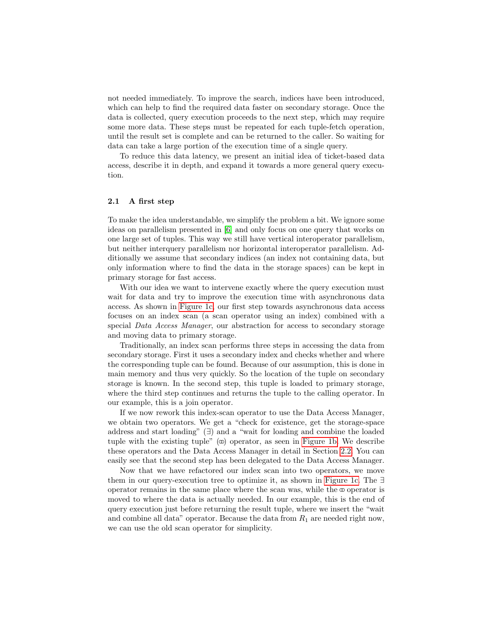not needed immediately. To improve the search, indices have been introduced, which can help to find the required data faster on secondary storage. Once the data is collected, query execution proceeds to the next step, which may require some more data. These steps must be repeated for each tuple-fetch operation, until the result set is complete and can be returned to the caller. So waiting for data can take a large portion of the execution time of a single query.

To reduce this data latency, we present an initial idea of ticket-based data access, describe it in depth, and expand it towards a more general query execution.

### <span id="page-2-0"></span>2.1 A first step

To make the idea understandable, we simplify the problem a bit. We ignore some ideas on parallelism presented in [\[6\]](#page-7-1) and only focus on one query that works on one large set of tuples. This way we still have vertical interoperator parallelism, but neither interquery parallelism nor horizontal interoperator parallelism. Additionally we assume that secondary indices (an index not containing data, but only information where to find the data in the storage spaces) can be kept in primary storage for fast access.

With our idea we want to intervene exactly where the query execution must wait for data and try to improve the execution time with asynchronous data access. As shown in [Figure 1c,](#page-3-1) our first step towards asynchronous data access focuses on an index scan (a scan operator using an index) combined with a special Data Access Manager, our abstraction for access to secondary storage and moving data to primary storage.

Traditionally, an index scan performs three steps in accessing the data from secondary storage. First it uses a secondary index and checks whether and where the corresponding tuple can be found. Because of our assumption, this is done in main memory and thus very quickly. So the location of the tuple on secondary storage is known. In the second step, this tuple is loaded to primary storage, where the third step continues and returns the tuple to the calling operator. In our example, this is a join operator.

If we now rework this index-scan operator to use the Data Access Manager, we obtain two operators. We get a "check for existence, get the storage-space address and start loading" (∃) and a "wait for loading and combine the loaded tuple with the existing tuple"  $(\infty)$  operator, as seen in [Figure 1b.](#page-3-1) We describe these operators and the Data Access Manager in detail in Section [2.2.](#page-4-0) You can easily see that the second step has been delegated to the Data Access Manager.

Now that we have refactored our index scan into two operators, we move them in our query-execution tree to optimize it, as shown in [Figure 1c.](#page-3-1) The ∃ operator remains in the same place where the scan was, while the  $\infty$  operator is moved to where the data is actually needed. In our example, this is the end of query execution just before returning the result tuple, where we insert the "wait and combine all data" operator. Because the data from  $R_1$  are needed right now, we can use the old scan operator for simplicity.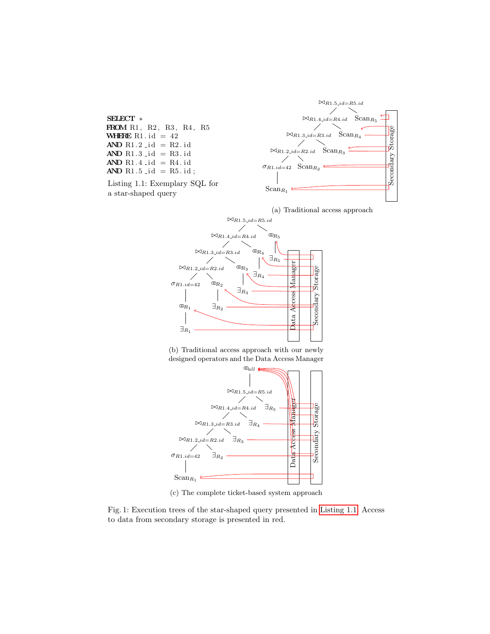<span id="page-3-1"></span><span id="page-3-0"></span>





(b) Traditional access approach with our newly designed operators and the Data Access Manager



(c) The complete ticket-based system approach

Fig. 1: Execution trees of the star-shaped query presented in [Listing 1.1.](#page-3-0) Access to data from secondary storage is presented in red.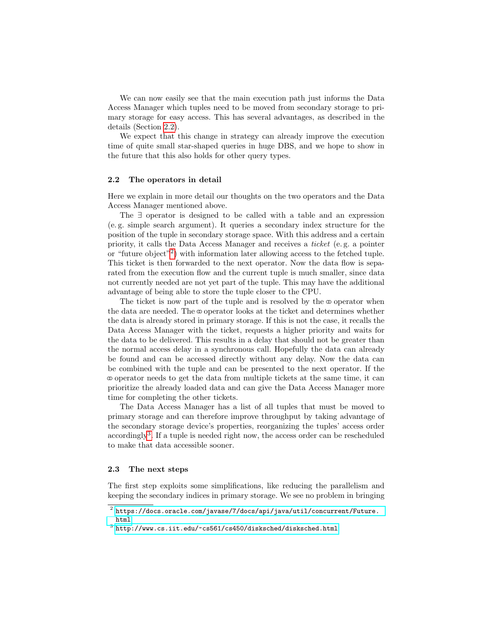We can now easily see that the main execution path just informs the Data Access Manager which tuples need to be moved from secondary storage to primary storage for easy access. This has several advantages, as described in the details (Section [2.2\)](#page-4-0).

We expect that this change in strategy can already improve the execution time of quite small star-shaped queries in huge DBS, and we hope to show in the future that this also holds for other query types.

#### <span id="page-4-0"></span>2.2 The operators in detail

Here we explain in more detail our thoughts on the two operators and the Data Access Manager mentioned above.

The ∃ operator is designed to be called with a table and an expression (e. g. simple search argument). It queries a secondary index structure for the position of the tuple in secondary storage space. With this address and a certain priority, it calls the Data Access Manager and receives a ticket (e. g. a pointer or "future object"<sup>[2](#page-4-2)</sup>) with information later allowing access to the fetched tuple. This ticket is then forwarded to the next operator. Now the data flow is separated from the execution flow and the current tuple is much smaller, since data not currently needed are not yet part of the tuple. This may have the additional advantage of being able to store the tuple closer to the CPU.

The ticket is now part of the tuple and is resolved by the  $\infty$  operator when the data are needed. The  $\infty$  operator looks at the ticket and determines whether the data is already stored in primary storage. If this is not the case, it recalls the Data Access Manager with the ticket, requests a higher priority and waits for the data to be delivered. This results in a delay that should not be greater than the normal access delay in a synchronous call. Hopefully the data can already be found and can be accessed directly without any delay. Now the data can be combined with the tuple and can be presented to the next operator. If the  $\infty$  operator needs to get the data from multiple tickets at the same time, it can prioritize the already loaded data and can give the Data Access Manager more time for completing the other tickets.

The Data Access Manager has a list of all tuples that must be moved to primary storage and can therefore improve throughput by taking advantage of the secondary storage device's properties, reorganizing the tuples' access order accordingly<sup>[3](#page-4-3)</sup>. If a tuple is needed right now, the access order can be rescheduled to make that data accessible sooner.

#### <span id="page-4-1"></span>2.3 The next steps

The first step exploits some simplifications, like reducing the parallelism and keeping the secondary indices in primary storage. We see no problem in bringing

<span id="page-4-2"></span> $^2$  [https://docs.oracle.com/javase/7/docs/api/java/util/concurrent/Future.](https://docs.oracle.com/javase/7/docs/api/java/util/concurrent/Future.html) [html](https://docs.oracle.com/javase/7/docs/api/java/util/concurrent/Future.html)

<span id="page-4-3"></span> $^3$  <http://www.cs.iit.edu/~cs561/cs450/disksched/disksched.html>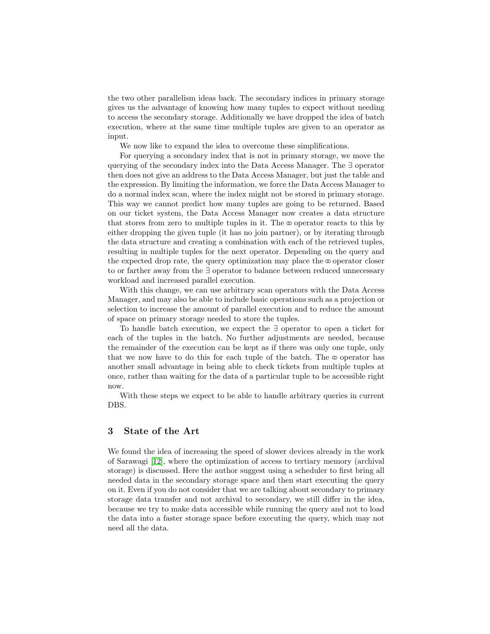the two other parallelism ideas back. The secondary indices in primary storage gives us the advantage of knowing how many tuples to expect without needing to access the secondary storage. Additionally we have dropped the idea of batch execution, where at the same time multiple tuples are given to an operator as input.

We now like to expand the idea to overcome these simplifications.

For querying a secondary index that is not in primary storage, we move the querying of the secondary index into the Data Access Manager. The ∃ operator then does not give an address to the Data Access Manager, but just the table and the expression. By limiting the information, we force the Data Access Manager to do a normal index scan, where the index might not be stored in primary storage. This way we cannot predict how many tuples are going to be returned. Based on our ticket system, the Data Access Manager now creates a data structure that stores from zero to multiple tuples in it. The  $\infty$  operator reacts to this by either dropping the given tuple (it has no join partner), or by iterating through the data structure and creating a combination with each of the retrieved tuples, resulting in multiple tuples for the next operator. Depending on the query and the expected drop rate, the query optimization may place the  $\infty$  operator closer to or farther away from the ∃ operator to balance between reduced unnecessary workload and increased parallel execution.

With this change, we can use arbitrary scan operators with the Data Access Manager, and may also be able to include basic operations such as a projection or selection to increase the amount of parallel execution and to reduce the amount of space on primary storage needed to store the tuples.

To handle batch execution, we expect the ∃ operator to open a ticket for each of the tuples in the batch. No further adjustments are needed, because the remainder of the execution can be kept as if there was only one tuple, only that we now have to do this for each tuple of the batch. The  $\infty$  operator has another small advantage in being able to check tickets from multiple tuples at once, rather than waiting for the data of a particular tuple to be accessible right now.

With these steps we expect to be able to handle arbitrary queries in current DBS.

## <span id="page-5-0"></span>3 State of the Art

We found the idea of increasing the speed of slower devices already in the work of Sarawagi [\[12\]](#page-8-1), where the optimization of access to tertiary memory (archival storage) is discussed. Here the author suggest using a scheduler to first bring all needed data in the secondary storage space and then start executing the query on it. Even if you do not consider that we are talking about secondary to primary storage data transfer and not archival to secondary, we still differ in the idea, because we try to make data accessible while running the query and not to load the data into a faster storage space before executing the query, which may not need all the data.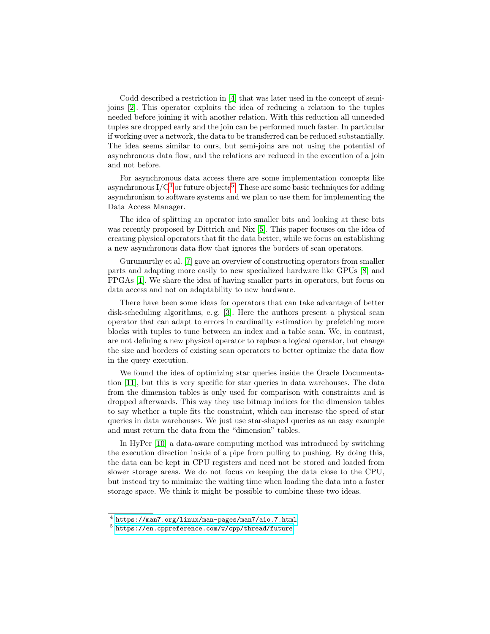Codd described a restriction in [\[4\]](#page-7-2) that was later used in the concept of semijoins [\[2\]](#page-7-3). This operator exploits the idea of reducing a relation to the tuples needed before joining it with another relation. With this reduction all unneeded tuples are dropped early and the join can be performed much faster. In particular if working over a network, the data to be transferred can be reduced substantially. The idea seems similar to ours, but semi-joins are not using the potential of asynchronous data flow, and the relations are reduced in the execution of a join and not before.

For asynchronous data access there are some implementation concepts like asynchronous  $I/O^4$  $I/O^4$  or future objects<sup>[5](#page-6-1)</sup>. These are some basic techniques for adding asynchronism to software systems and we plan to use them for implementing the Data Access Manager.

The idea of splitting an operator into smaller bits and looking at these bits was recently proposed by Dittrich and Nix [\[5\]](#page-7-4). This paper focuses on the idea of creating physical operators that fit the data better, while we focus on establishing a new asynchronous data flow that ignores the borders of scan operators.

Gurumurthy et al. [\[7\]](#page-8-2) gave an overview of constructing operators from smaller parts and adapting more easily to new specialized hardware like GPUs [\[8\]](#page-8-3) and FPGAs [\[1\]](#page-7-5). We share the idea of having smaller parts in operators, but focus on data access and not on adaptability to new hardware.

There have been some ideas for operators that can take advantage of better disk-scheduling algorithms, e.g. [\[3\]](#page-7-6). Here the authors present a physical scan operator that can adapt to errors in cardinality estimation by prefetching more blocks with tuples to tune between an index and a table scan. We, in contrast, are not defining a new physical operator to replace a logical operator, but change the size and borders of existing scan operators to better optimize the data flow in the query execution.

We found the idea of optimizing star queries inside the Oracle Documentation [\[11\]](#page-8-4), but this is very specific for star queries in data warehouses. The data from the dimension tables is only used for comparison with constraints and is dropped afterwards. This way they use bitmap indices for the dimension tables to say whether a tuple fits the constraint, which can increase the speed of star queries in data warehouses. We just use star-shaped queries as an easy example and must return the data from the "dimension" tables.

In HyPer [\[10\]](#page-8-0) a data-aware computing method was introduced by switching the execution direction inside of a pipe from pulling to pushing. By doing this, the data can be kept in CPU registers and need not be stored and loaded from slower storage areas. We do not focus on keeping the data close to the CPU, but instead try to minimize the waiting time when loading the data into a faster storage space. We think it might be possible to combine these two ideas.

<span id="page-6-0"></span><sup>4</sup> <https://man7.org/linux/man-pages/man7/aio.7.html>

<span id="page-6-1"></span> $^5$ <https://en.cppreference.com/w/cpp/thread/future>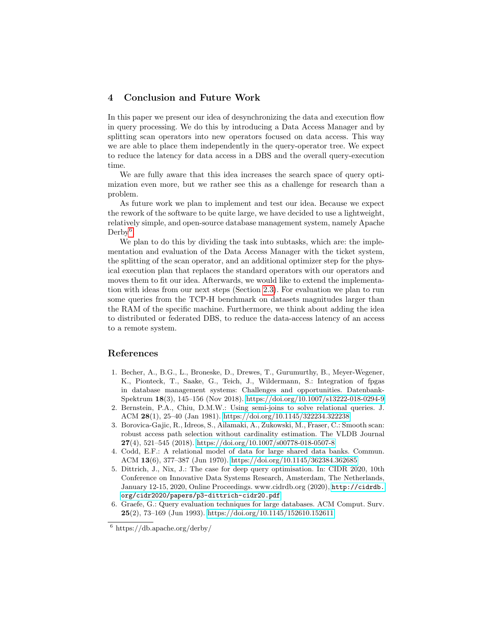# <span id="page-7-0"></span>4 Conclusion and Future Work

In this paper we present our idea of desynchronizing the data and execution flow in query processing. We do this by introducing a Data Access Manager and by splitting scan operators into new operators focused on data access. This way we are able to place them independently in the query-operator tree. We expect to reduce the latency for data access in a DBS and the overall query-execution time.

We are fully aware that this idea increases the search space of query optimization even more, but we rather see this as a challenge for research than a problem.

As future work we plan to implement and test our idea. Because we expect the rework of the software to be quite large, we have decided to use a lightweight, relatively simple, and open-source database management system, namely Apache  $Derby<sup>6</sup>$  $Derby<sup>6</sup>$  $Derby<sup>6</sup>$ .

We plan to do this by dividing the task into subtasks, which are: the implementation and evaluation of the Data Access Manager with the ticket system, the splitting of the scan operator, and an additional optimizer step for the physical execution plan that replaces the standard operators with our operators and moves them to fit our idea. Afterwards, we would like to extend the implementation with ideas from our next steps (Section [2.3\)](#page-4-1). For evaluation we plan to run some queries from the TCP-H benchmark on datasets magnitudes larger than the RAM of the specific machine. Furthermore, we think about adding the idea to distributed or federated DBS, to reduce the data-access latency of an access to a remote system.

## References

- <span id="page-7-5"></span>1. Becher, A., B.G., L., Broneske, D., Drewes, T., Gurumurthy, B., Meyer-Wegener, K., Pionteck, T., Saake, G., Teich, J., Wildermann, S.: Integration of fpgas in database management systems: Challenges and opportunities. Datenbank-Spektrum 18(3), 145–156 (Nov 2018).<https://doi.org/10.1007/s13222-018-0294-9>
- <span id="page-7-3"></span>2. Bernstein, P.A., Chiu, D.M.W.: Using semi-joins to solve relational queries. J. ACM 28(1), 25–40 (Jan 1981).<https://doi.org/10.1145/322234.322238>
- <span id="page-7-6"></span>3. Borovica-Gajic, R., Idreos, S., Ailamaki, A., Zukowski, M., Fraser, C.: Smooth scan: robust access path selection without cardinality estimation. The VLDB Journal 27(4), 521–545 (2018).<https://doi.org/10.1007/s00778-018-0507-8>
- <span id="page-7-2"></span>4. Codd, E.F.: A relational model of data for large shared data banks. Commun. ACM 13(6), 377–387 (Jun 1970).<https://doi.org/10.1145/362384.362685>
- <span id="page-7-4"></span>5. Dittrich, J., Nix, J.: The case for deep query optimisation. In: CIDR 2020, 10th Conference on Innovative Data Systems Research, Amsterdam, The Netherlands, January 12-15, 2020, Online Proceedings. www.cidrdb.org (2020), [http://cidrdb.](http://cidrdb.org/cidr2020/papers/p3-dittrich-cidr20.pdf) [org/cidr2020/papers/p3-dittrich-cidr20.pdf](http://cidrdb.org/cidr2020/papers/p3-dittrich-cidr20.pdf)
- <span id="page-7-1"></span>6. Graefe, G.: Query evaluation techniques for large databases. ACM Comput. Surv. 25(2), 73–169 (Jun 1993).<https://doi.org/10.1145/152610.152611>

<span id="page-7-7"></span> $6 \text{ https://db.apache.org/derby/}$